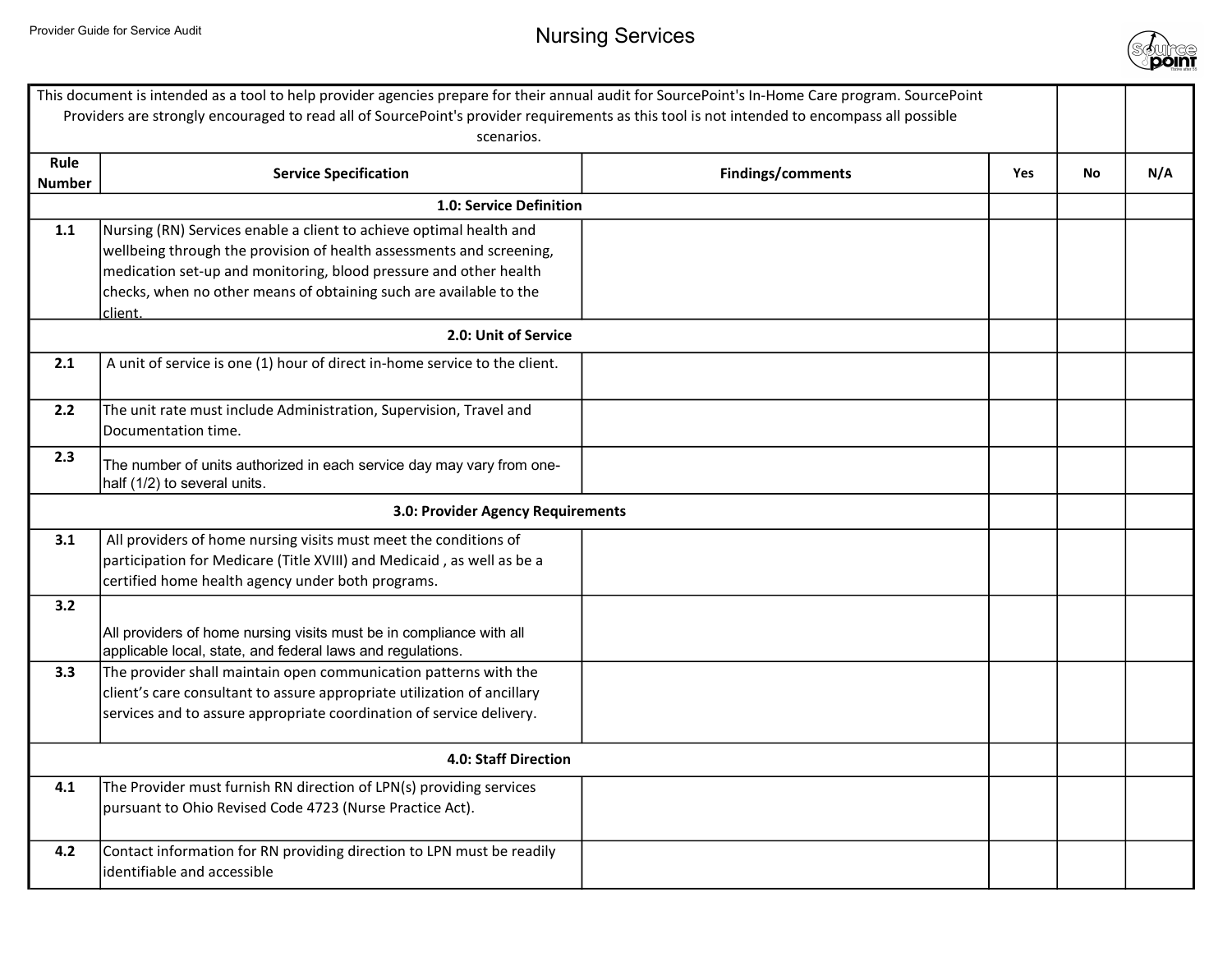

|               | This document is intended as a tool to help provider agencies prepare for their annual audit for SourcePoint's In-Home Care program. SourcePoint                                                                                                                                       |                                 |    |     |
|---------------|----------------------------------------------------------------------------------------------------------------------------------------------------------------------------------------------------------------------------------------------------------------------------------------|---------------------------------|----|-----|
|               | Providers are strongly encouraged to read all of SourcePoint's provider requirements as this tool is not intended to encompass all possible<br>scenarios.                                                                                                                              |                                 |    |     |
| Rule          |                                                                                                                                                                                                                                                                                        |                                 |    |     |
| <b>Number</b> | <b>Service Specification</b>                                                                                                                                                                                                                                                           | <b>Findings/comments</b><br>Yes | No | N/A |
|               | 1.0: Service Definition                                                                                                                                                                                                                                                                |                                 |    |     |
| 1.1           | Nursing (RN) Services enable a client to achieve optimal health and<br>wellbeing through the provision of health assessments and screening,<br>medication set-up and monitoring, blood pressure and other health<br>checks, when no other means of obtaining such are available to the |                                 |    |     |
|               | client.                                                                                                                                                                                                                                                                                |                                 |    |     |
|               | 2.0: Unit of Service                                                                                                                                                                                                                                                                   |                                 |    |     |
| 2.1           | A unit of service is one (1) hour of direct in-home service to the client.                                                                                                                                                                                                             |                                 |    |     |
| 2.2           | The unit rate must include Administration, Supervision, Travel and<br>Documentation time.                                                                                                                                                                                              |                                 |    |     |
| 2.3           | The number of units authorized in each service day may vary from one-<br>half (1/2) to several units.                                                                                                                                                                                  |                                 |    |     |
|               | 3.0: Provider Agency Requirements                                                                                                                                                                                                                                                      |                                 |    |     |
| 3.1           | All providers of home nursing visits must meet the conditions of<br>participation for Medicare (Title XVIII) and Medicaid, as well as be a<br>certified home health agency under both programs.                                                                                        |                                 |    |     |
| 3.2           |                                                                                                                                                                                                                                                                                        |                                 |    |     |
|               | All providers of home nursing visits must be in compliance with all<br>applicable local, state, and federal laws and regulations.                                                                                                                                                      |                                 |    |     |
| 3.3           | The provider shall maintain open communication patterns with the<br>client's care consultant to assure appropriate utilization of ancillary<br>services and to assure appropriate coordination of service delivery.                                                                    |                                 |    |     |
|               | 4.0: Staff Direction                                                                                                                                                                                                                                                                   |                                 |    |     |
| 4.1           | The Provider must furnish RN direction of LPN(s) providing services<br>pursuant to Ohio Revised Code 4723 (Nurse Practice Act).                                                                                                                                                        |                                 |    |     |
| 4.2           | Contact information for RN providing direction to LPN must be readily<br>identifiable and accessible                                                                                                                                                                                   |                                 |    |     |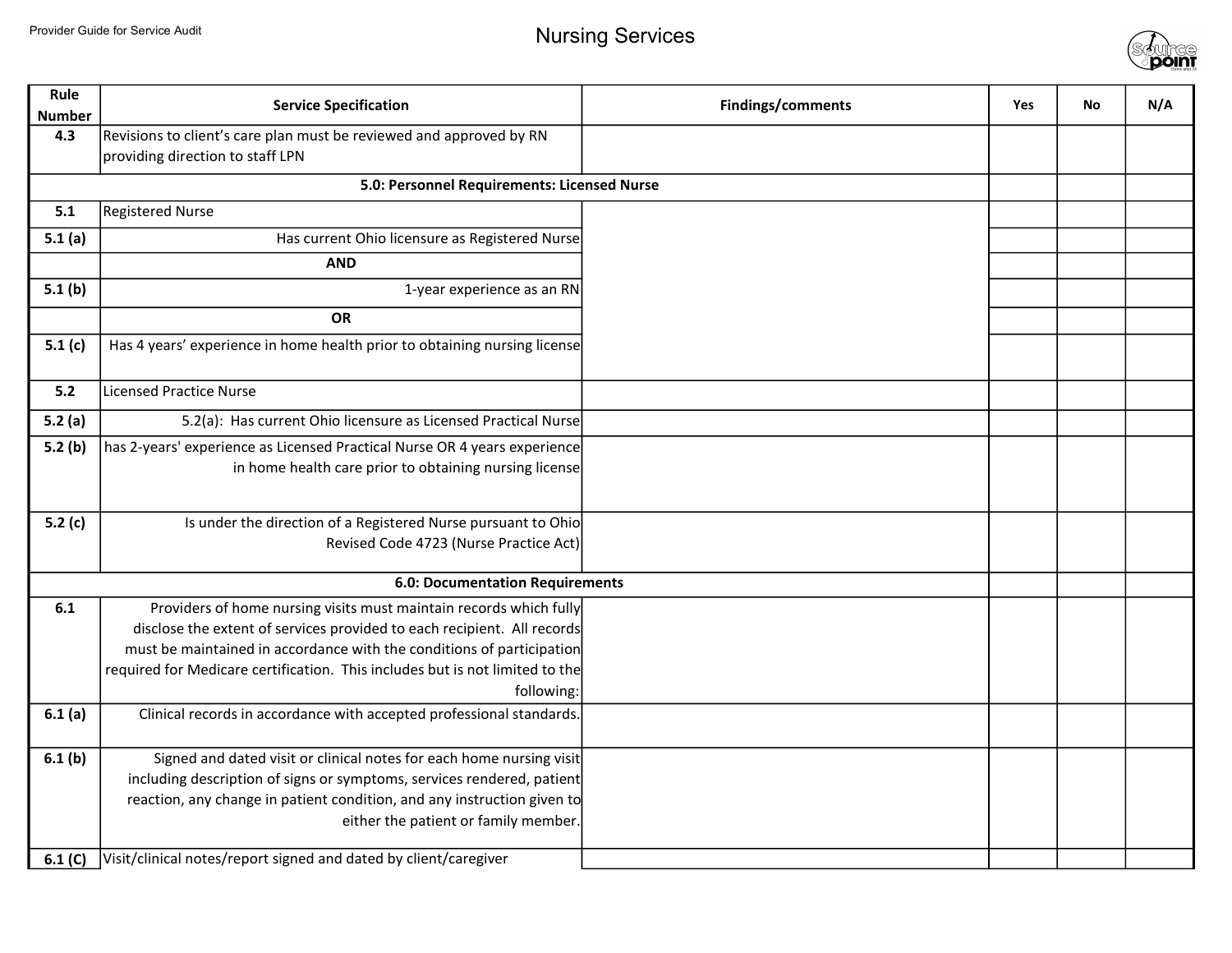

| Rule<br><b>Number</b> | <b>Service Specification</b>                                                                            | Findings/comments | Yes | <b>No</b> | N/A |
|-----------------------|---------------------------------------------------------------------------------------------------------|-------------------|-----|-----------|-----|
| 4.3                   | Revisions to client's care plan must be reviewed and approved by RN<br>providing direction to staff LPN |                   |     |           |     |
|                       | 5.0: Personnel Requirements: Licensed Nurse                                                             |                   |     |           |     |
| 5.1                   | <b>Registered Nurse</b>                                                                                 |                   |     |           |     |
| 5.1(a)                | Has current Ohio licensure as Registered Nurse                                                          |                   |     |           |     |
|                       | <b>AND</b>                                                                                              |                   |     |           |     |
| 5.1(b)                | 1-year experience as an RN                                                                              |                   |     |           |     |
|                       | <b>OR</b>                                                                                               |                   |     |           |     |
| 5.1(c)                | Has 4 years' experience in home health prior to obtaining nursing license                               |                   |     |           |     |
| 5.2                   | <b>Licensed Practice Nurse</b>                                                                          |                   |     |           |     |
| 5.2(a)                | 5.2(a): Has current Ohio licensure as Licensed Practical Nurse                                          |                   |     |           |     |
| 5.2(b)                | has 2-years' experience as Licensed Practical Nurse OR 4 years experience                               |                   |     |           |     |
|                       | in home health care prior to obtaining nursing license                                                  |                   |     |           |     |
|                       |                                                                                                         |                   |     |           |     |
| 5.2(c)                | Is under the direction of a Registered Nurse pursuant to Ohio                                           |                   |     |           |     |
|                       | Revised Code 4723 (Nurse Practice Act)                                                                  |                   |     |           |     |
|                       | 6.0: Documentation Requirements                                                                         |                   |     |           |     |
| 6.1                   | Providers of home nursing visits must maintain records which fully                                      |                   |     |           |     |
|                       | disclose the extent of services provided to each recipient. All records                                 |                   |     |           |     |
|                       | must be maintained in accordance with the conditions of participation                                   |                   |     |           |     |
|                       | required for Medicare certification. This includes but is not limited to the                            |                   |     |           |     |
|                       | following:                                                                                              |                   |     |           |     |
| 6.1(a)                | Clinical records in accordance with accepted professional standards.                                    |                   |     |           |     |
| 6.1(b)                | Signed and dated visit or clinical notes for each home nursing visit                                    |                   |     |           |     |
|                       | including description of signs or symptoms, services rendered, patient                                  |                   |     |           |     |
|                       | reaction, any change in patient condition, and any instruction given to                                 |                   |     |           |     |
|                       | either the patient or family member.                                                                    |                   |     |           |     |
| 6.1 (C)               | Visit/clinical notes/report signed and dated by client/caregiver                                        |                   |     |           |     |
|                       |                                                                                                         |                   |     |           |     |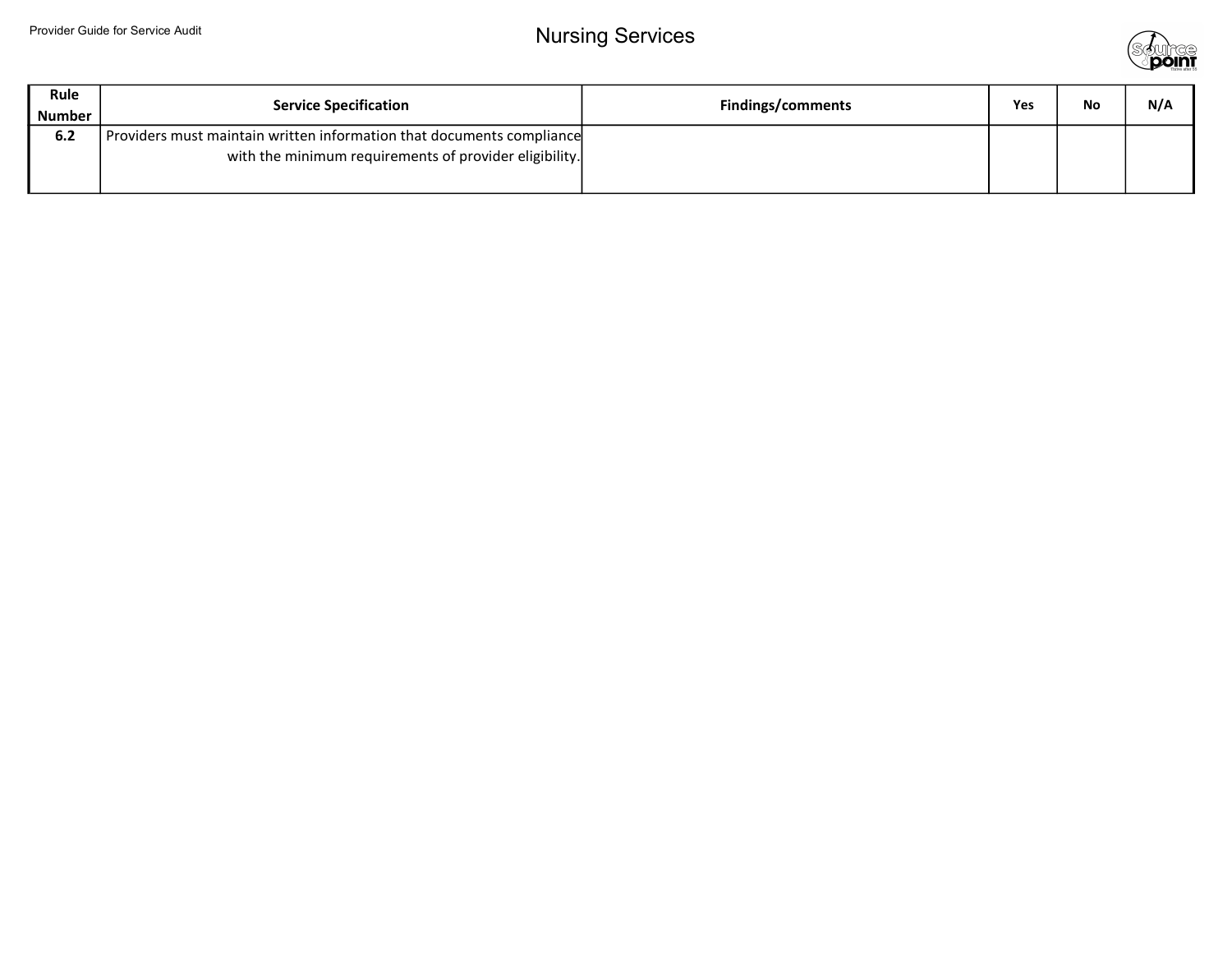

| Rule<br><b>Number</b> | <b>Service Specification</b>                                                                                                    | <b>Findings/comments</b> | Yes | No | N/A |
|-----------------------|---------------------------------------------------------------------------------------------------------------------------------|--------------------------|-----|----|-----|
| 6.2                   | Providers must maintain written information that documents compliance<br>with the minimum requirements of provider eligibility. |                          |     |    |     |